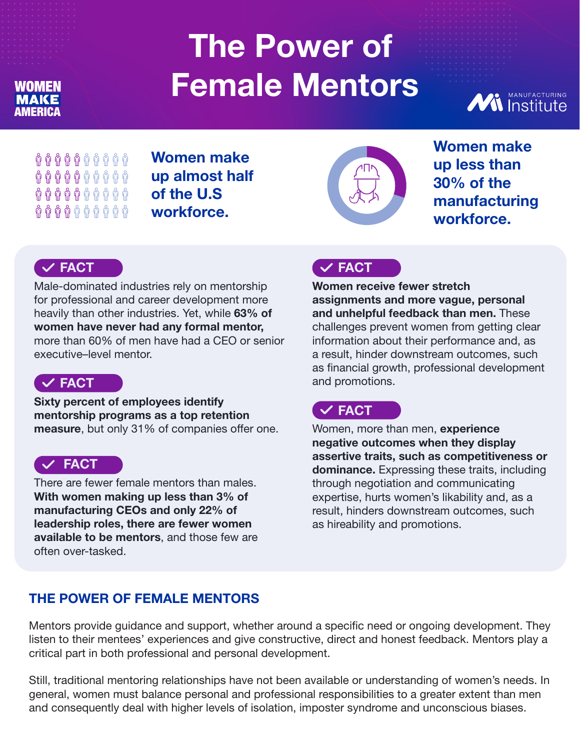# **The Power of Female Mentors**



 $\begin{array}{ccccc} \mathbf{\hat{U}}&\mathbf{\hat{U}}&\mathbf{\hat{U}}&\mathbf{\hat{U}}&\mathbf{\hat{U}}&\mathbf{\hat{U}}&\mathbf{\hat{U}}&\mathbf{\hat{U}}&\mathbf{\hat{U}}&\mathbf{\hat{U}}&\mathbf{\hat{U}}&\mathbf{\hat{U}}&\mathbf{\hat{U}}&\mathbf{\hat{U}}&\mathbf{\hat{U}}&\mathbf{\hat{U}}&\mathbf{\hat{U}}&\mathbf{\hat{U}}&\mathbf{\hat{U}}&\mathbf{\hat{U}}&\mathbf{\hat{U}}&\mathbf{\hat{U}}&\mathbf{\hat{U}}&\mathbf{\hat$  $\mathfrak h$   $\mathfrak h$   $\mathfrak h$   $\mathfrak h$   $\mathfrak h$   $\mathfrak h$   $\mathfrak h$   $\mathfrak h$   $\mathfrak h$  $\mathfrak h$   $\mathfrak h$   $\mathfrak h$   $\mathfrak h$   $\mathfrak h$   $\mathfrak h$   $\mathfrak h$   $\mathfrak h$   $\mathfrak h$   $\mathfrak h$  $\mathfrak h$   $\mathfrak h$   $\mathfrak h$   $\mathfrak h$   $\mathfrak h$   $\mathfrak h$   $\mathfrak h$   $\mathfrak h$   $\mathfrak h$   $\mathfrak h$ 

AMERICA

MAKE

WOMEN

**Women make up almost half of the U.S workforce.**



**Women make up less than 30% of the manufacturing workforce.**

## **FACT**

Male-dominated industries rely on mentorship for professional and career development more heavily than other industries. Yet, while **63% of women have never had any formal mentor,** more than 60% of men have had a CEO or senior executive–level mentor.



**Sixty percent of employees identify mentorship programs as a top retention measure**, but only 31% of companies offer one.

#### **FACT**

There are fewer female mentors than males. **With women making up less than 3% of manufacturing CEOs and only 22% of leadership roles, there are fewer women available to be mentors**, and those few are often over-tasked.

## **FACT**

**Women receive fewer stretch assignments and more vague, personal and unhelpful feedback than men.** These challenges prevent women from getting clear information about their performance and, as a result, hinder downstream outcomes, such as financial growth, professional development and promotions.

# **FACT**

Women, more than men, **experience negative outcomes when they display assertive traits, such as competitiveness or dominance.** Expressing these traits, including through negotiation and communicating expertise, hurts women's likability and, as a result, hinders downstream outcomes, such as hireability and promotions.

## **THE POWER OF FEMALE MENTORS**

Mentors provide guidance and support, whether around a specific need or ongoing development. They listen to their mentees' experiences and give constructive, direct and honest feedback. Mentors play a critical part in both professional and personal development.

Still, traditional mentoring relationships have not been available or understanding of women's needs. In general, women must balance personal and professional responsibilities to a greater extent than men and consequently deal with higher levels of isolation, imposter syndrome and unconscious biases.